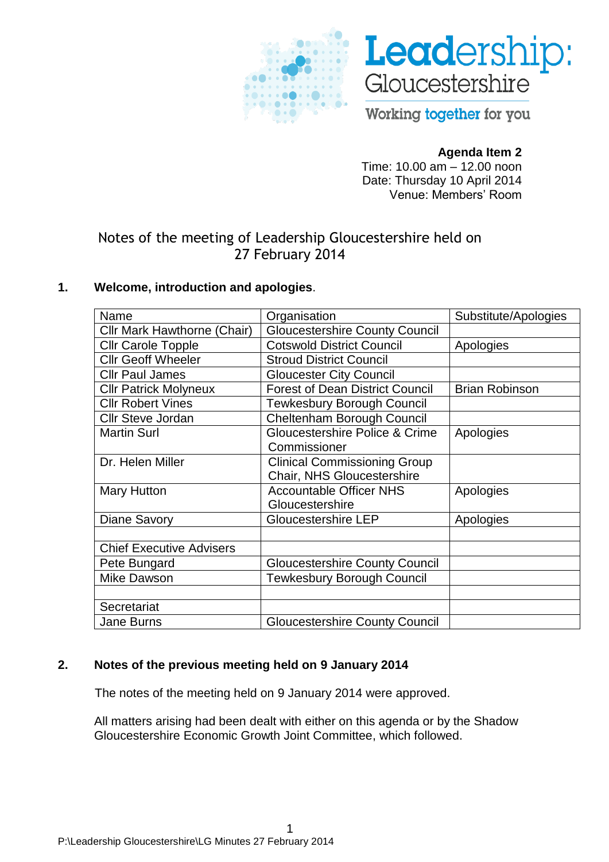



Working together for you

## **Agenda Item 2**

Time: 10.00 am – 12.00 noon Date: Thursday 10 April 2014 Venue: Members' Room

# Notes of the meeting of Leadership Gloucestershire held on 27 February 2014

## **1. Welcome, introduction and apologies**.

| Name                            | Organisation                           | Substitute/Apologies  |
|---------------------------------|----------------------------------------|-----------------------|
| Cllr Mark Hawthorne (Chair)     | <b>Gloucestershire County Council</b>  |                       |
| <b>Cllr Carole Topple</b>       | <b>Cotswold District Council</b>       | Apologies             |
| <b>Cllr Geoff Wheeler</b>       | <b>Stroud District Council</b>         |                       |
| <b>Cllr Paul James</b>          | <b>Gloucester City Council</b>         |                       |
| <b>Cllr Patrick Molyneux</b>    | <b>Forest of Dean District Council</b> | <b>Brian Robinson</b> |
| <b>Cllr Robert Vines</b>        | <b>Tewkesbury Borough Council</b>      |                       |
| <b>Cllr Steve Jordan</b>        | Cheltenham Borough Council             |                       |
| <b>Martin Surl</b>              | Gloucestershire Police & Crime         | Apologies             |
|                                 | Commissioner                           |                       |
| Dr. Helen Miller                | <b>Clinical Commissioning Group</b>    |                       |
|                                 | Chair, NHS Gloucestershire             |                       |
| <b>Mary Hutton</b>              | <b>Accountable Officer NHS</b>         | Apologies             |
|                                 | Gloucestershire                        |                       |
| <b>Diane Savory</b>             | <b>Gloucestershire LEP</b>             | Apologies             |
|                                 |                                        |                       |
| <b>Chief Executive Advisers</b> |                                        |                       |
| Pete Bungard                    | <b>Gloucestershire County Council</b>  |                       |
| <b>Mike Dawson</b>              | <b>Tewkesbury Borough Council</b>      |                       |
|                                 |                                        |                       |
| Secretariat                     |                                        |                       |
| <b>Jane Burns</b>               | <b>Gloucestershire County Council</b>  |                       |

## **2. Notes of the previous meeting held on 9 January 2014**

The notes of the meeting held on 9 January 2014 were approved.

All matters arising had been dealt with either on this agenda or by the Shadow Gloucestershire Economic Growth Joint Committee, which followed.